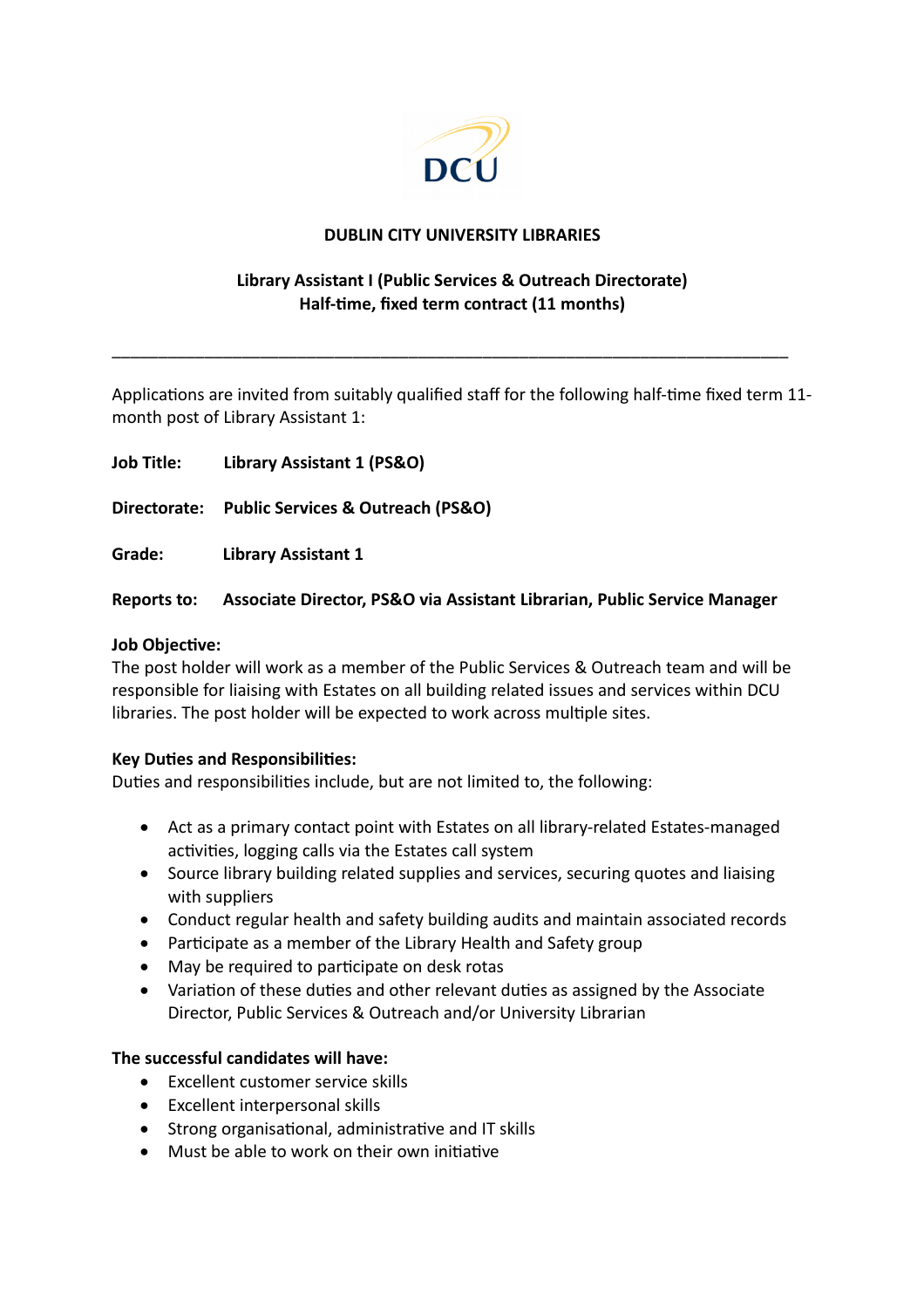

### **DUBLIN CITY UNIVERSITY LIBRARIES**

# **Library Assistant I (Public Services & Outreach Directorate) Half-time, fixed term contract (11 months)**

Applications are invited from suitably qualified staff for the following half-time fixed term 11 month post of Library Assistant 1:

\_\_\_\_\_\_\_\_\_\_\_\_\_\_\_\_\_\_\_\_\_\_\_\_\_\_\_\_\_\_\_\_\_\_\_\_\_\_\_\_\_\_\_\_\_\_\_\_\_\_\_\_\_\_\_\_\_\_\_\_\_\_\_\_\_\_\_\_\_\_\_\_\_

**Job Title: Library Assistant 1 (PS&O) Directorate: Public Services & Outreach (PS&O) Grade: Library Assistant 1**

# **Reports to: Associate Director, PS&O via Assistant Librarian, Public Service Manager**

### **Job Objective:**

The post holder will work as a member of the Public Services & Outreach team and will be responsible for liaising with Estates on all building related issues and services within DCU libraries. The post holder will be expected to work across multiple sites.

#### **Key Duties and Responsibilities:**

Duties and responsibilities include, but are not limited to, the following:

- Act as a primary contact point with Estates on all library-related Estates-managed activities, logging calls via the Estates call system
- Source library building related supplies and services, securing quotes and liaising with suppliers
- Conduct regular health and safety building audits and maintain associated records
- Participate as a member of the Library Health and Safety group
- May be required to participate on desk rotas
- Variation of these duties and other relevant duties as assigned by the Associate Director, Public Services & Outreach and/or University Librarian

# **The successful candidates will have:**

- **Excellent customer service skills**
- Excellent interpersonal skills
- Strong organisational, administrative and IT skills
- Must be able to work on their own initiative